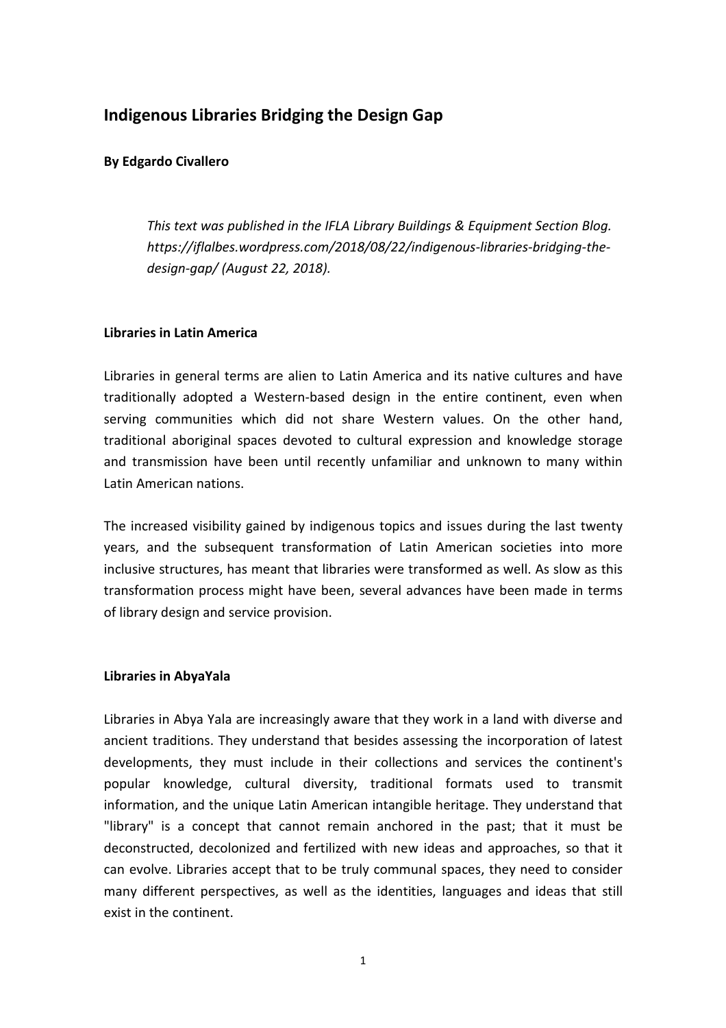# **Indigenous Libraries Bridging the Design Gap**

## **By Edgardo Civallero**

*This text was published in the IFLA Library Buildings & Equipment Section Blog. https://iflalbes.wordpress.com/2018/08/22/indigenous-libraries-bridging-thedesign-gap/ (August 22, 2018).* 

## **Libraries in Latin America**

Libraries in general terms are alien to Latin America and its native cultures and have traditionally adopted a Western-based design in the entire continent, even when serving communities which did not share Western values. On the other hand, traditional aboriginal spaces devoted to cultural expression and knowledge storage and transmission have been until recently unfamiliar and unknown to many within Latin American nations.

The increased visibility gained by indigenous topics and issues during the last twenty years, and the subsequent transformation of Latin American societies into more inclusive structures, has meant that libraries were transformed as well. As slow as this transformation process might have been, several advances have been made in terms of library design and service provision.

## **Libraries in AbyaYala**

Libraries in Abya Yala are increasingly aware that they work in a land with diverse and ancient traditions. They understand that besides assessing the incorporation of latest developments, they must include in their collections and services the continent's popular knowledge, cultural diversity, traditional formats used to transmit information, and the unique Latin American intangible heritage. They understand that "library" is a concept that cannot remain anchored in the past; that it must be deconstructed, decolonized and fertilized with new ideas and approaches, so that it can evolve. Libraries accept that to be truly communal spaces, they need to consider many different perspectives, as well as the identities, languages and ideas that still exist in the continent.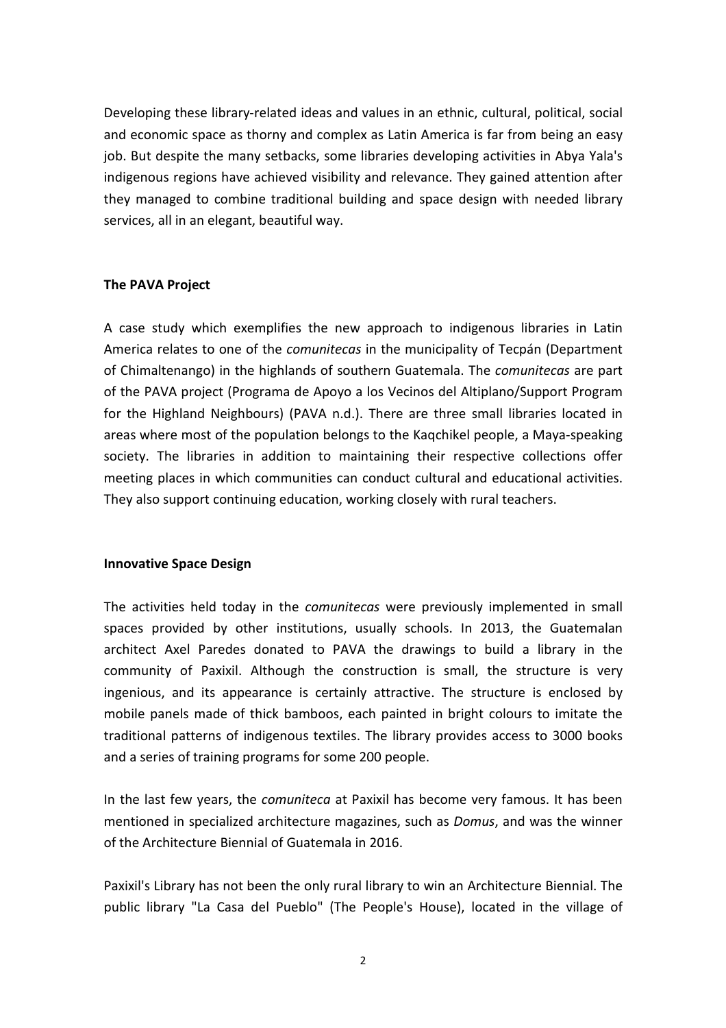Developing these library-related ideas and values in an ethnic, cultural, political, social and economic space as thorny and complex as Latin America is far from being an easy job. But despite the many setbacks, some libraries developing activities in Abya Yala's indigenous regions have achieved visibility and relevance. They gained attention after they managed to combine traditional building and space design with needed library services, all in an elegant, beautiful way.

## **The PAVA Project**

A case study which exemplifies the new approach to indigenous libraries in Latin America relates to one of the *comunitecas* in the municipality of Tecpán (Department of Chimaltenango) in the highlands of southern Guatemala. The *comunitecas* are part of the PAVA project (Programa de Apoyo a los Vecinos del Altiplano/Support Program for the Highland Neighbours) (PAVA n.d.). There are three small libraries located in areas where most of the population belongs to the Kaqchikel people, a Maya-speaking society. The libraries in addition to maintaining their respective collections offer meeting places in which communities can conduct cultural and educational activities. They also support continuing education, working closely with rural teachers.

#### **Innovative Space Design**

The activities held today in the *comunitecas* were previously implemented in small spaces provided by other institutions, usually schools. In 2013, the Guatemalan architect Axel Paredes donated to PAVA the drawings to build a library in the community of Paxixil. Although the construction is small, the structure is very ingenious, and its appearance is certainly attractive. The structure is enclosed by mobile panels made of thick bamboos, each painted in bright colours to imitate the traditional patterns of indigenous textiles. The library provides access to 3000 books and a series of training programs for some 200 people.

In the last few years, the *comuniteca* at Paxixil has become very famous. It has been mentioned in specialized architecture magazines, such as *Domus*, and was the winner of the Architecture Biennial of Guatemala in 2016.

Paxixil's Library has not been the only rural library to win an Architecture Biennial. The public library "La Casa del Pueblo" (The People's House), located in the village of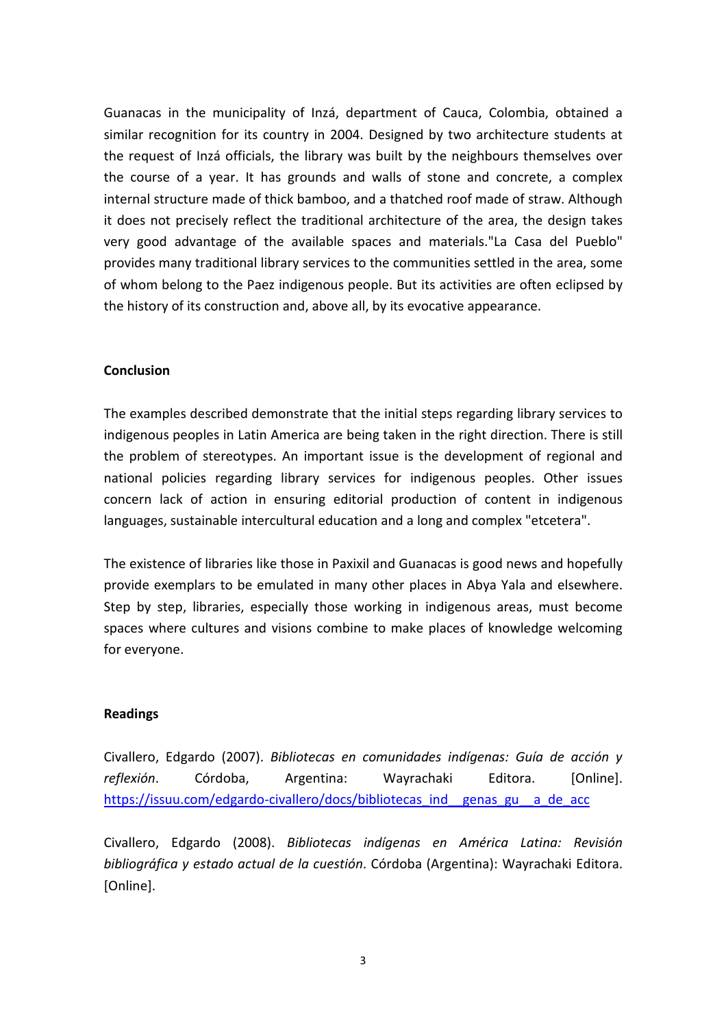Guanacas in the municipality of Inzá, department of Cauca, Colombia, obtained a similar recognition for its country in 2004. Designed by two architecture students at the request of Inzá officials, the library was built by the neighbours themselves over the course of a year. It has grounds and walls of stone and concrete, a complex internal structure made of thick bamboo, and a thatched roof made of straw. Although it does not precisely reflect the traditional architecture of the area, the design takes very good advantage of the available spaces and materials."La Casa del Pueblo" provides many traditional library services to the communities settled in the area, some of whom belong to the Paez indigenous people. But its activities are often eclipsed by the history of its construction and, above all, by its evocative appearance.

#### **Conclusion**

The examples described demonstrate that the initial steps regarding library services to indigenous peoples in Latin America are being taken in the right direction. There is still the problem of stereotypes. An important issue is the development of regional and national policies regarding library services for indigenous peoples. Other issues concern lack of action in ensuring editorial production of content in indigenous languages, sustainable intercultural education and a long and complex "etcetera".

The existence of libraries like those in Paxixil and Guanacas is good news and hopefully provide exemplars to be emulated in many other places in Abya Yala and elsewhere. Step by step, libraries, especially those working in indigenous areas, must become spaces where cultures and visions combine to make places of knowledge welcoming for everyone.

#### **Readings**

Civallero, Edgardo (2007). *Bibliotecas en comunidades indígenas: Guía de acción y reflexión*. Córdoba, Argentina: Wayrachaki Editora. [Online]. https://issuu.com/edgardo-civallero/docs/bibliotecas\_ind\_\_genas\_gu\_\_a\_de\_acc

Civallero, Edgardo (2008). *Bibliotecas indígenas en América Latina: Revisión bibliográfica y estado actual de la cuestión*. Córdoba (Argentina): Wayrachaki Editora. [Online].